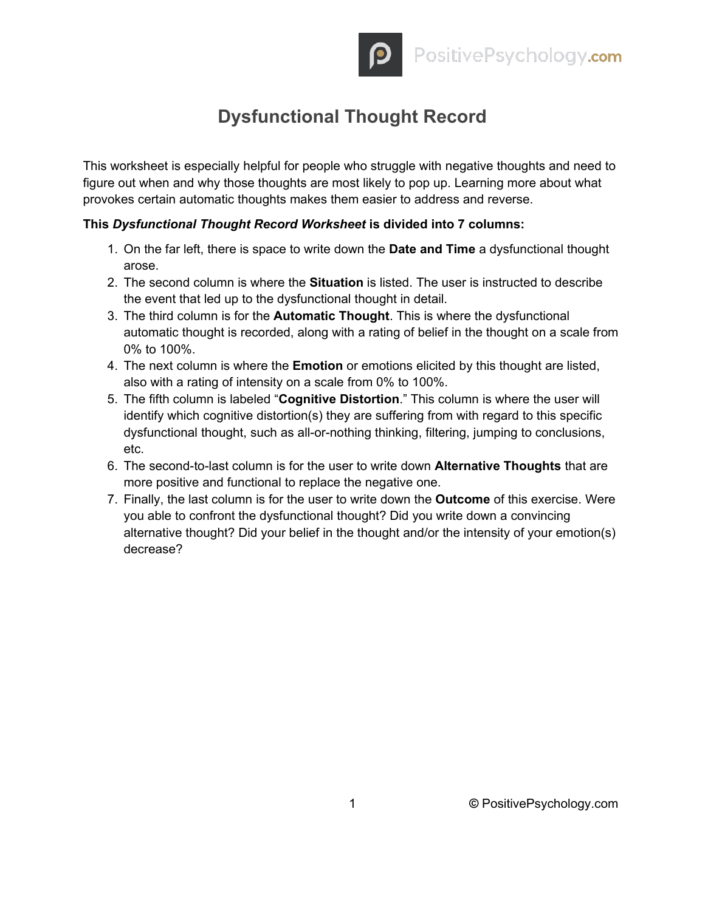## **Dysfunctional Thought Record**

This worksheet is especially helpful for people who struggle with negative thoughts and need to figure out when and why those thoughts are most likely to pop up. Learning more about what provokes certain automatic thoughts makes them easier to address and reverse.

## **This** *Dysfunctional Thought Record Worksheet* **is divided into 7 columns:**

- 1. On the far left, there is space to write down the **Date and Time** a dysfunctional thought arose.
- 2. The second column is where the **Situation** is listed. The user is instructed to describe the event that led up to the dysfunctional thought in detail.
- 3. The third column is for the **Automatic Thought**. This is where the dysfunctional automatic thought is recorded, along with a rating of belief in the thought on a scale from 0% to 100%.
- 4. The next column is where the **Emotion** or emotions elicited by this thought are listed, also with a rating of intensity on a scale from 0% to 100%.
- 5. The fifth column is labeled "**Cognitive Distortion**." This column is where the user will identify which cognitive distortion(s) they are suffering from with regard to this specific dysfunctional thought, such as all-or-nothing thinking, filtering, jumping to conclusions, etc.
- 6. The second-to-last column is for the user to write down **Alternative Thoughts** that are more positive and functional to replace the negative one.
- 7. Finally, the last column is for the user to write down the **Outcome** of this exercise. Were you able to confront the dysfunctional thought? Did you write down a convincing alternative thought? Did your belief in the thought and/or the intensity of your emotion(s) decrease?